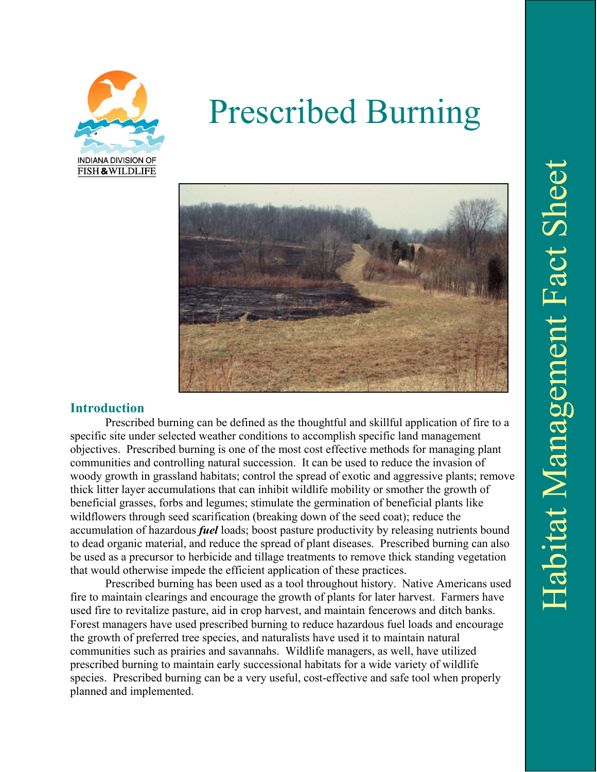

# Prescribed Burning



## **Introduction**

Prescribed burning can be defined as the thoughtful and skillful application of fire to a specific site under selected weather conditions to accomplish specific land management objectives. Prescribed burning is one of the most cost effective methods for managing plant communities and controlling natural succession. It can be used to reduce the invasion of woody growth in grassland habitats; control the spread of exotic and aggressive plants; remove thick litter layer accumulations that can inhibit wildlife mobility or smother the growth of beneficial grasses, forbs and legumes; stimulate the germination of beneficial plants like wildflowers through seed scarification (breaking down of the seed coat); reduce the accumulation of hazardous *fuel* loads; boost pasture productivity by releasing nutrients bound to dead organic material, and reduce the spread of plant diseases. Prescribed burning can also be used as a precursor to herbicide and tillage treatments to remove thick standing vegetation that would otherwise impede the efficient application of these practices.

Prescribed burning has been used as a tool throughout history. Native Americans used fire to maintain clearings and encourage the growth of plants for later harvest. Farmers have used fire to revitalize pasture, aid in crop harvest, and maintain fencerows and ditch banks. Forest managers have used prescribed burning to reduce hazardous fuel loads and encourage the growth of preferred tree species, and naturalists have used it to maintain natural communities such as prairies and savannahs. Wildlife managers, as well, have utilized prescribed burning to maintain early successional habitats for a wide variety of wildlife species. Prescribed burning can be a very useful, cost-effective and safe tool when properly planned and implemented.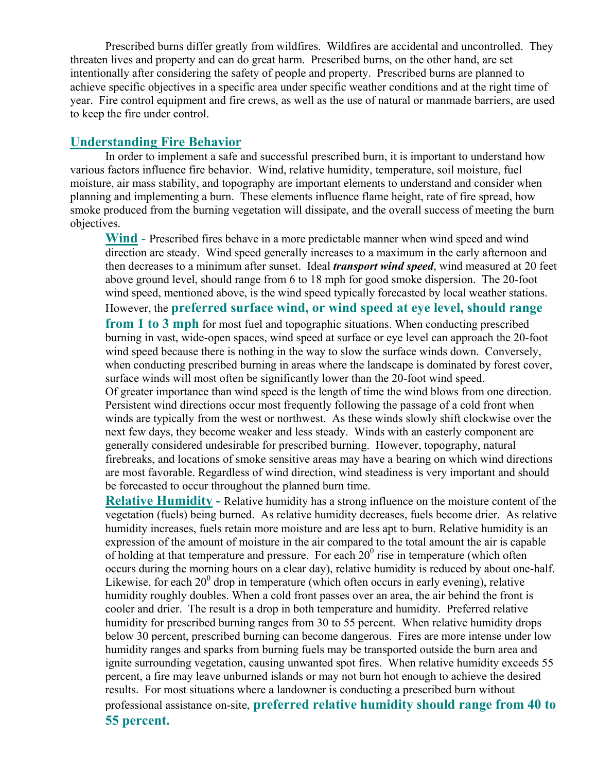Prescribed burns differ greatly from wildfires. Wildfires are accidental and uncontrolled. They threaten lives and property and can do great harm. Prescribed burns, on the other hand, are set intentionally after considering the safety of people and property. Prescribed burns are planned to achieve specific objectives in a specific area under specific weather conditions and at the right time of year. Fire control equipment and fire crews, as well as the use of natural or manmade barriers, are used to keep the fire under control.

#### **Understanding Fire Behavior**

In order to implement a safe and successful prescribed burn, it is important to understand how various factors influence fire behavior. Wind, relative humidity, temperature, soil moisture, fuel moisture, air mass stability, and topography are important elements to understand and consider when planning and implementing a burn. These elements influence flame height, rate of fire spread, how smoke produced from the burning vegetation will dissipate, and the overall success of meeting the burn objectives.

**Wind** - Prescribed fires behave in a more predictable manner when wind speed and wind direction are steady. Wind speed generally increases to a maximum in the early afternoon and then decreases to a minimum after sunset. Ideal *transport wind speed*, wind measured at 20 feet above ground level, should range from 6 to 18 mph for good smoke dispersion. The 20-foot wind speed, mentioned above, is the wind speed typically forecasted by local weather stations. However, the **preferred surface wind, or wind speed at eye level, should range from 1 to 3 mph** for most fuel and topographic situations. When conducting prescribed burning in vast, wide-open spaces, wind speed at surface or eye level can approach the 20-foot wind speed because there is nothing in the way to slow the surface winds down. Conversely, when conducting prescribed burning in areas where the landscape is dominated by forest cover, surface winds will most often be significantly lower than the 20-foot wind speed. Of greater importance than wind speed is the length of time the wind blows from one direction. Persistent wind directions occur most frequently following the passage of a cold front when

winds are typically from the west or northwest. As these winds slowly shift clockwise over the next few days, they become weaker and less steady. Winds with an easterly component are generally considered undesirable for prescribed burning. However, topography, natural firebreaks, and locations of smoke sensitive areas may have a bearing on which wind directions are most favorable. Regardless of wind direction, wind steadiness is very important and should be forecasted to occur throughout the planned burn time.

**Relative Humidity -** Relative humidity has a strong influence on the moisture content of the vegetation (fuels) being burned. As relative humidity decreases, fuels become drier. As relative humidity increases, fuels retain more moisture and are less apt to burn. Relative humidity is an expression of the amount of moisture in the air compared to the total amount the air is capable of holding at that temperature and pressure. For each  $20^{\circ}$  rise in temperature (which often occurs during the morning hours on a clear day), relative humidity is reduced by about one-half. Likewise, for each  $20^{\circ}$  drop in temperature (which often occurs in early evening), relative humidity roughly doubles. When a cold front passes over an area, the air behind the front is cooler and drier. The result is a drop in both temperature and humidity. Preferred relative humidity for prescribed burning ranges from 30 to 55 percent. When relative humidity drops below 30 percent, prescribed burning can become dangerous. Fires are more intense under low humidity ranges and sparks from burning fuels may be transported outside the burn area and ignite surrounding vegetation, causing unwanted spot fires. When relative humidity exceeds 55 percent, a fire may leave unburned islands or may not burn hot enough to achieve the desired results. For most situations where a landowner is conducting a prescribed burn without professional assistance on-site, **preferred relative humidity should range from 40 to 55 percent.**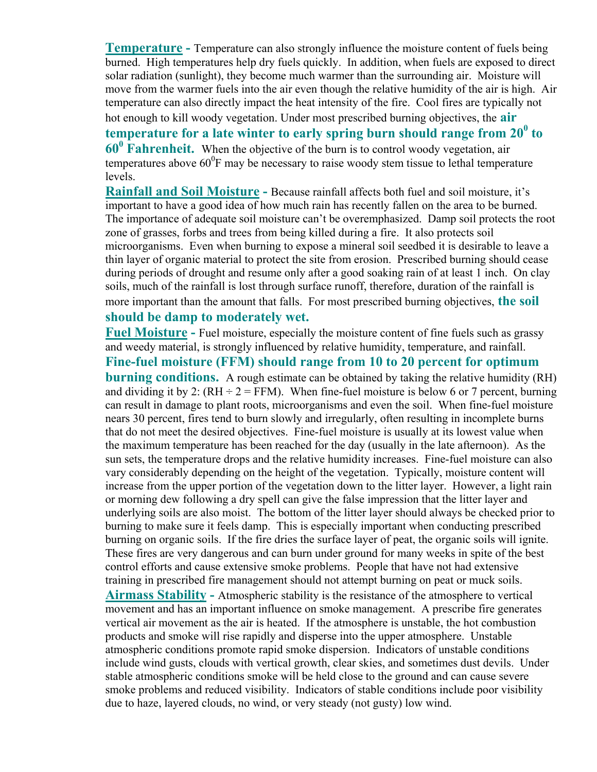**Temperature -** Temperature can also strongly influence the moisture content of fuels being burned. High temperatures help dry fuels quickly. In addition, when fuels are exposed to direct solar radiation (sunlight), they become much warmer than the surrounding air. Moisture will move from the warmer fuels into the air even though the relative humidity of the air is high. Air temperature can also directly impact the heat intensity of the fire. Cool fires are typically not hot enough to kill woody vegetation. Under most prescribed burning objectives, the **air**  temperature for a late winter to early spring burn should range from  $20^0$  to **60<sup>0</sup> Fahrenheit.** When the objective of the burn is to control woody vegetation, air temperatures above  $60^{\circ}$ F may be necessary to raise woody stem tissue to lethal temperature levels.

**Rainfall and Soil Moisture -** Because rainfall affects both fuel and soil moisture, it's important to have a good idea of how much rain has recently fallen on the area to be burned. The importance of adequate soil moisture can't be overemphasized. Damp soil protects the root zone of grasses, forbs and trees from being killed during a fire. It also protects soil microorganisms. Even when burning to expose a mineral soil seedbed it is desirable to leave a thin layer of organic material to protect the site from erosion. Prescribed burning should cease during periods of drought and resume only after a good soaking rain of at least 1 inch. On clay soils, much of the rainfall is lost through surface runoff, therefore, duration of the rainfall is more important than the amount that falls. For most prescribed burning objectives, **the soil should be damp to moderately wet.**

**Fuel Moisture -** Fuel moisture, especially the moisture content of fine fuels such as grassy and weedy material, is strongly influenced by relative humidity, temperature, and rainfall.

**Fine-fuel moisture (FFM) should range from 10 to 20 percent for optimum burning conditions.** A rough estimate can be obtained by taking the relative humidity (RH) and dividing it by 2:  $(RH \div 2 = FFM)$ . When fine-fuel moisture is below 6 or 7 percent, burning can result in damage to plant roots, microorganisms and even the soil. When fine-fuel moisture nears 30 percent, fires tend to burn slowly and irregularly, often resulting in incomplete burns that do not meet the desired objectives. Fine-fuel moisture is usually at its lowest value when the maximum temperature has been reached for the day (usually in the late afternoon). As the sun sets, the temperature drops and the relative humidity increases. Fine-fuel moisture can also vary considerably depending on the height of the vegetation. Typically, moisture content will increase from the upper portion of the vegetation down to the litter layer. However, a light rain or morning dew following a dry spell can give the false impression that the litter layer and underlying soils are also moist. The bottom of the litter layer should always be checked prior to burning to make sure it feels damp. This is especially important when conducting prescribed burning on organic soils. If the fire dries the surface layer of peat, the organic soils will ignite. These fires are very dangerous and can burn under ground for many weeks in spite of the best control efforts and cause extensive smoke problems. People that have not had extensive training in prescribed fire management should not attempt burning on peat or muck soils. **Airmass Stability -** Atmospheric stability is the resistance of the atmosphere to vertical movement and has an important influence on smoke management. A prescribe fire generates vertical air movement as the air is heated. If the atmosphere is unstable, the hot combustion products and smoke will rise rapidly and disperse into the upper atmosphere. Unstable atmospheric conditions promote rapid smoke dispersion. Indicators of unstable conditions include wind gusts, clouds with vertical growth, clear skies, and sometimes dust devils. Under stable atmospheric conditions smoke will be held close to the ground and can cause severe smoke problems and reduced visibility. Indicators of stable conditions include poor visibility due to haze, layered clouds, no wind, or very steady (not gusty) low wind.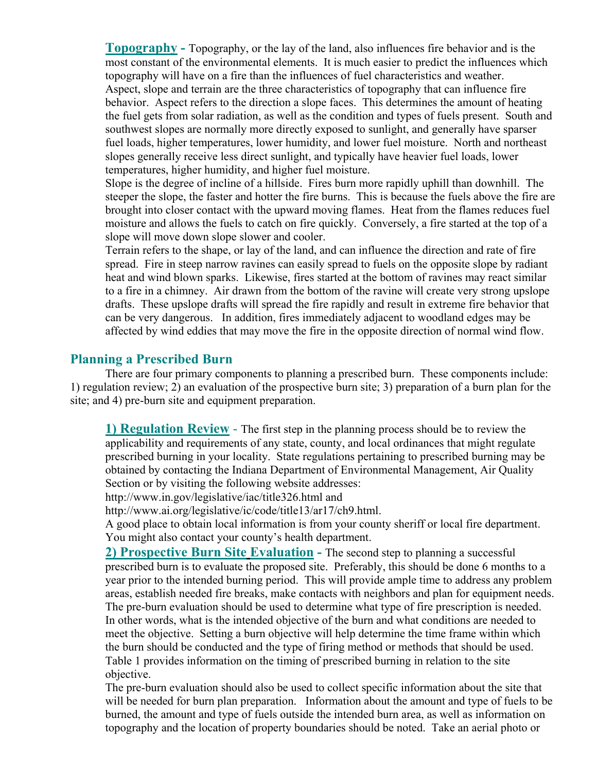**Topography -** Topography, or the lay of the land, also influences fire behavior and is the most constant of the environmental elements. It is much easier to predict the influences which topography will have on a fire than the influences of fuel characteristics and weather. Aspect, slope and terrain are the three characteristics of topography that can influence fire behavior. Aspect refers to the direction a slope faces. This determines the amount of heating the fuel gets from solar radiation, as well as the condition and types of fuels present. South and southwest slopes are normally more directly exposed to sunlight, and generally have sparser fuel loads, higher temperatures, lower humidity, and lower fuel moisture. North and northeast slopes generally receive less direct sunlight, and typically have heavier fuel loads, lower temperatures, higher humidity, and higher fuel moisture.

 Slope is the degree of incline of a hillside. Fires burn more rapidly uphill than downhill. The steeper the slope, the faster and hotter the fire burns. This is because the fuels above the fire are brought into closer contact with the upward moving flames. Heat from the flames reduces fuel moisture and allows the fuels to catch on fire quickly. Conversely, a fire started at the top of a slope will move down slope slower and cooler.

 Terrain refers to the shape, or lay of the land, and can influence the direction and rate of fire spread. Fire in steep narrow ravines can easily spread to fuels on the opposite slope by radiant heat and wind blown sparks. Likewise, fires started at the bottom of ravines may react similar to a fire in a chimney. Air drawn from the bottom of the ravine will create very strong upslope drafts. These upslope drafts will spread the fire rapidly and result in extreme fire behavior that can be very dangerous. In addition, fires immediately adjacent to woodland edges may be affected by wind eddies that may move the fire in the opposite direction of normal wind flow.

#### **Planning a Prescribed Burn**

There are four primary components to planning a prescribed burn. These components include: 1) regulation review; 2) an evaluation of the prospective burn site; 3) preparation of a burn plan for the site; and 4) pre-burn site and equipment preparation.

**1) Regulation Review** - The first step in the planning process should be to review the applicability and requirements of any state, county, and local ordinances that might regulate prescribed burning in your locality. State regulations pertaining to prescribed burning may be obtained by contacting the Indiana Department of Environmental Management, Air Quality Section or by visiting the following website addresses:

http://www.in.gov/legislative/iac/title326.html and

http://www.ai.org/legislative/ic/code/title13/ar17/ch9.html.

A good place to obtain local information is from your county sheriff or local fire department. You might also contact your county's health department.

**2) Prospective Burn Site Evaluation -** The second step to planning a successful prescribed burn is to evaluate the proposed site. Preferably, this should be done 6 months to a year prior to the intended burning period. This will provide ample time to address any problem areas, establish needed fire breaks, make contacts with neighbors and plan for equipment needs. The pre-burn evaluation should be used to determine what type of fire prescription is needed. In other words, what is the intended objective of the burn and what conditions are needed to meet the objective. Setting a burn objective will help determine the time frame within which the burn should be conducted and the type of firing method or methods that should be used. Table 1 provides information on the timing of prescribed burning in relation to the site objective.

The pre-burn evaluation should also be used to collect specific information about the site that will be needed for burn plan preparation. Information about the amount and type of fuels to be burned, the amount and type of fuels outside the intended burn area, as well as information on topography and the location of property boundaries should be noted. Take an aerial photo or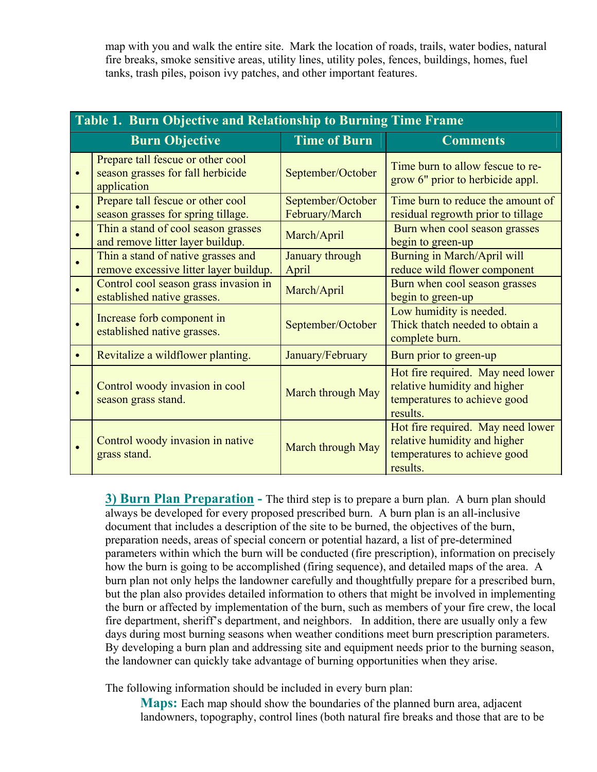map with you and walk the entire site. Mark the location of roads, trails, water bodies, natural fire breaks, smoke sensitive areas, utility lines, utility poles, fences, buildings, homes, fuel tanks, trash piles, poison ivy patches, and other important features.

| Table 1. Burn Objective and Relationship to Burning Time Frame |                                                                                       |                                     |                                                                                                               |
|----------------------------------------------------------------|---------------------------------------------------------------------------------------|-------------------------------------|---------------------------------------------------------------------------------------------------------------|
|                                                                | <b>Burn Objective</b>                                                                 | <b>Time of Burn</b>                 | <b>Comments</b>                                                                                               |
|                                                                | Prepare tall fescue or other cool<br>season grasses for fall herbicide<br>application | September/October                   | Time burn to allow fescue to re-<br>grow 6" prior to herbicide appl.                                          |
|                                                                | Prepare tall fescue or other cool<br>season grasses for spring tillage.               | September/October<br>February/March | Time burn to reduce the amount of<br>residual regrowth prior to tillage                                       |
|                                                                | Thin a stand of cool season grasses<br>and remove litter layer buildup.               | March/April                         | Burn when cool season grasses<br>begin to green-up                                                            |
|                                                                | Thin a stand of native grasses and<br>remove excessive litter layer buildup.          | January through<br>April            | Burning in March/April will<br>reduce wild flower component                                                   |
|                                                                | Control cool season grass invasion in<br>established native grasses.                  | March/April                         | Burn when cool season grasses<br>begin to green-up                                                            |
|                                                                | Increase forb component in<br>established native grasses.                             | September/October                   | Low humidity is needed.<br>Thick thatch needed to obtain a<br>complete burn.                                  |
|                                                                | Revitalize a wildflower planting.                                                     | January/February                    | Burn prior to green-up                                                                                        |
|                                                                | Control woody invasion in cool<br>season grass stand.                                 | March through May                   | Hot fire required. May need lower<br>relative humidity and higher<br>temperatures to achieve good<br>results. |
|                                                                | Control woody invasion in native<br>grass stand.                                      | March through May                   | Hot fire required. May need lower<br>relative humidity and higher<br>temperatures to achieve good<br>results. |

**3) Burn Plan Preparation -** The third step is to prepare a burn plan. A burn plan should always be developed for every proposed prescribed burn. A burn plan is an all-inclusive document that includes a description of the site to be burned, the objectives of the burn, preparation needs, areas of special concern or potential hazard, a list of pre-determined parameters within which the burn will be conducted (fire prescription), information on precisely how the burn is going to be accomplished (firing sequence), and detailed maps of the area. A burn plan not only helps the landowner carefully and thoughtfully prepare for a prescribed burn, but the plan also provides detailed information to others that might be involved in implementing the burn or affected by implementation of the burn, such as members of your fire crew, the local fire department, sheriff's department, and neighbors. In addition, there are usually only a few days during most burning seasons when weather conditions meet burn prescription parameters. By developing a burn plan and addressing site and equipment needs prior to the burning season, the landowner can quickly take advantage of burning opportunities when they arise.

The following information should be included in every burn plan:

**Maps:** Each map should show the boundaries of the planned burn area, adjacent landowners, topography, control lines (both natural fire breaks and those that are to be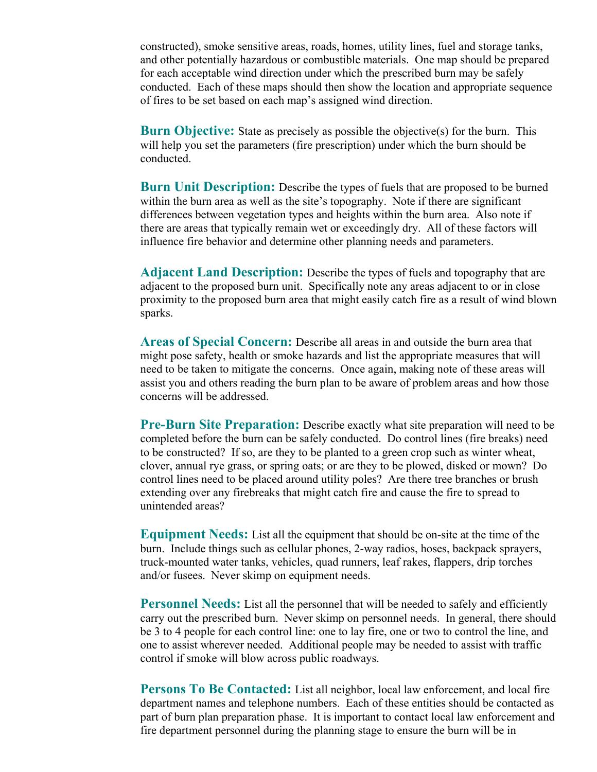constructed), smoke sensitive areas, roads, homes, utility lines, fuel and storage tanks, and other potentially hazardous or combustible materials. One map should be prepared for each acceptable wind direction under which the prescribed burn may be safely conducted. Each of these maps should then show the location and appropriate sequence of fires to be set based on each map's assigned wind direction.

**Burn Objective:** State as precisely as possible the objective(s) for the burn. This will help you set the parameters (fire prescription) under which the burn should be conducted.

 **Burn Unit Description:** Describe the types of fuels that are proposed to be burned within the burn area as well as the site's topography. Note if there are significant differences between vegetation types and heights within the burn area. Also note if there are areas that typically remain wet or exceedingly dry. All of these factors will influence fire behavior and determine other planning needs and parameters.

 **Adjacent Land Description:** Describe the types of fuels and topography that are adjacent to the proposed burn unit. Specifically note any areas adjacent to or in close proximity to the proposed burn area that might easily catch fire as a result of wind blown sparks.

 **Areas of Special Concern:** Describe all areas in and outside the burn area that might pose safety, health or smoke hazards and list the appropriate measures that will need to be taken to mitigate the concerns. Once again, making note of these areas will assist you and others reading the burn plan to be aware of problem areas and how those concerns will be addressed.

 **Pre-Burn Site Preparation:** Describe exactly what site preparation will need to be completed before the burn can be safely conducted. Do control lines (fire breaks) need to be constructed? If so, are they to be planted to a green crop such as winter wheat, clover, annual rye grass, or spring oats; or are they to be plowed, disked or mown? Do control lines need to be placed around utility poles? Are there tree branches or brush extending over any firebreaks that might catch fire and cause the fire to spread to unintended areas?

 **Equipment Needs:** List all the equipment that should be on-site at the time of the burn. Include things such as cellular phones, 2-way radios, hoses, backpack sprayers, truck-mounted water tanks, vehicles, quad runners, leaf rakes, flappers, drip torches and/or fusees. Never skimp on equipment needs.

**Personnel Needs:** List all the personnel that will be needed to safely and efficiently carry out the prescribed burn. Never skimp on personnel needs. In general, there should be 3 to 4 people for each control line: one to lay fire, one or two to control the line, and one to assist wherever needed. Additional people may be needed to assist with traffic control if smoke will blow across public roadways.

**Persons To Be Contacted:** List all neighbor, local law enforcement, and local fire department names and telephone numbers. Each of these entities should be contacted as part of burn plan preparation phase. It is important to contact local law enforcement and fire department personnel during the planning stage to ensure the burn will be in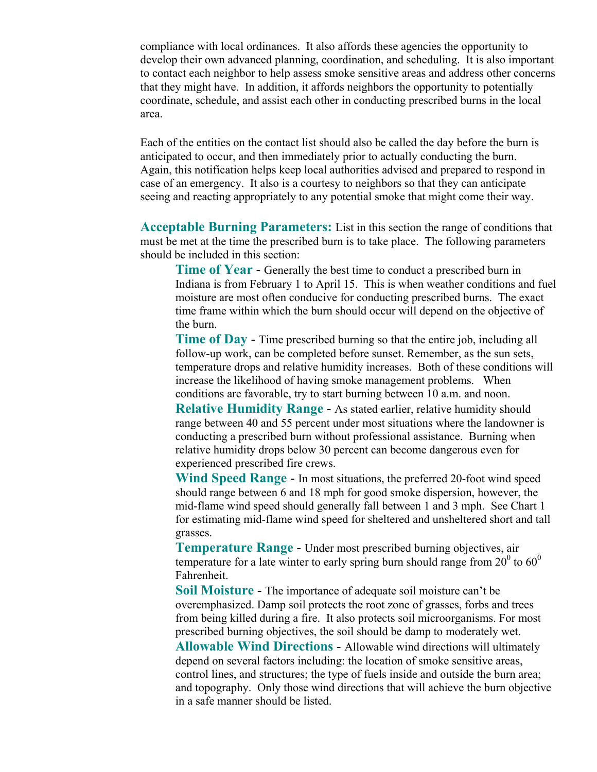compliance with local ordinances. It also affords these agencies the opportunity to develop their own advanced planning, coordination, and scheduling. It is also important to contact each neighbor to help assess smoke sensitive areas and address other concerns that they might have. In addition, it affords neighbors the opportunity to potentially coordinate, schedule, and assist each other in conducting prescribed burns in the local area.

Each of the entities on the contact list should also be called the day before the burn is anticipated to occur, and then immediately prior to actually conducting the burn. Again, this notification helps keep local authorities advised and prepared to respond in case of an emergency. It also is a courtesy to neighbors so that they can anticipate seeing and reacting appropriately to any potential smoke that might come their way.

 **Acceptable Burning Parameters:** List in this section the range of conditions that must be met at the time the prescribed burn is to take place. The following parameters should be included in this section:

 **Time of Year** - Generally the best time to conduct a prescribed burn in Indiana is from February 1 to April 15. This is when weather conditions and fuel moisture are most often conducive for conducting prescribed burns. The exact time frame within which the burn should occur will depend on the objective of the burn.

**Time of Day** - Time prescribed burning so that the entire job, including all follow-up work, can be completed before sunset. Remember, as the sun sets, temperature drops and relative humidity increases. Both of these conditions will increase the likelihood of having smoke management problems. When conditions are favorable, try to start burning between 10 a.m. and noon.

 **Relative Humidity Range** - As stated earlier, relative humidity should range between 40 and 55 percent under most situations where the landowner is conducting a prescribed burn without professional assistance. Burning when relative humidity drops below 30 percent can become dangerous even for experienced prescribed fire crews.

 **Wind Speed Range** - In most situations, the preferred 20-foot wind speed should range between 6 and 18 mph for good smoke dispersion, however, the mid-flame wind speed should generally fall between 1 and 3 mph. See Chart 1 for estimating mid-flame wind speed for sheltered and unsheltered short and tall grasses.

 **Temperature Range** - Under most prescribed burning objectives, air temperature for a late winter to early spring burn should range from  $20^0$  to  $60^0$ Fahrenheit.

 **Soil Moisture** - The importance of adequate soil moisture can't be overemphasized. Damp soil protects the root zone of grasses, forbs and trees from being killed during a fire. It also protects soil microorganisms. For most prescribed burning objectives, the soil should be damp to moderately wet.

 **Allowable Wind Directions** - Allowable wind directions will ultimately depend on several factors including: the location of smoke sensitive areas, control lines, and structures; the type of fuels inside and outside the burn area; and topography. Only those wind directions that will achieve the burn objective in a safe manner should be listed.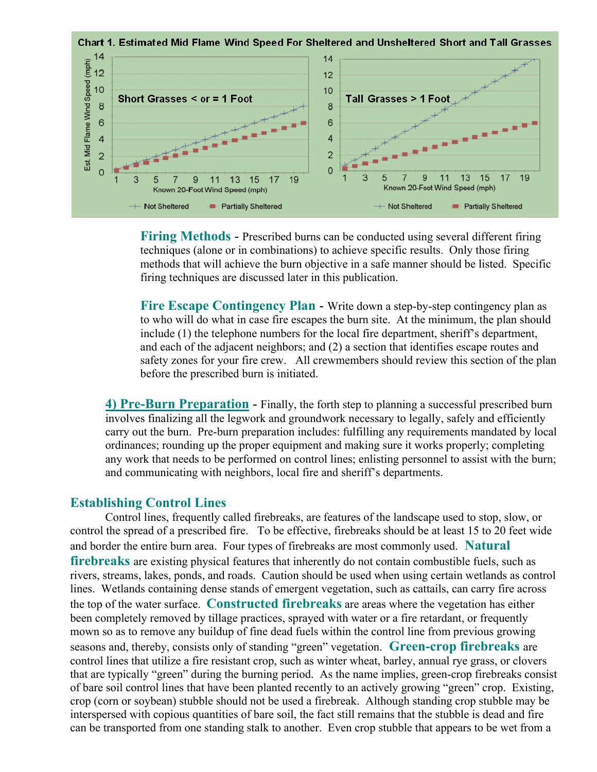

**Firing Methods** - Prescribed burns can be conducted using several different firing techniques (alone or in combinations) to achieve specific results. Only those firing methods that will achieve the burn objective in a safe manner should be listed. Specific firing techniques are discussed later in this publication.

Fire Escape Contingency Plan - Write down a step-by-step contingency plan as to who will do what in case fire escapes the burn site.At the minimum, the plan should include (1) the telephone numbers for the local fire department, sheriff's department, and each of the adjacent neighbors; and (2) a section that identifies escape routes and safety zones for your fire crew. All crewmembers should review this section of the plan before the prescribed burn is initiated.

**4) Pre-Burn Preparation** - Finally, the forth step to planning a successful prescribed burn involves finalizing all the legwork and groundwork necessary to legally, safely and efficiently carry out the burn. Pre-burn preparation includes: fulfilling any requirements mandated by local ordinances; rounding up the proper equipment and making sure it works properly; completing any work that needs to be performed on control lines; enlisting personnel to assist with the burn; and communicating with neighbors, local fire and sheriff's departments.

## **Establishing Control Lines**

Control lines, frequently called firebreaks, are features of the landscape used to stop, slow, or control the spread of a prescribed fire. To be effective, firebreaks should be at least 15 to 20 feet wide and border the entire burn area. Four types of firebreaks are most commonly used. **Natural firebreaks** are existing physical features that inherently do not contain combustible fuels, such as rivers, streams, lakes, ponds, and roads. Caution should be used when using certain wetlands as control lines. Wetlands containing dense stands of emergent vegetation, such as cattails, can carry fire across the top of the water surface. **Constructed firebreaks** are areas where the vegetation has either been completely removed by tillage practices, sprayed with water or a fire retardant, or frequently mown so as to remove any buildup of fine dead fuels within the control line from previous growing seasons and, thereby, consists only of standing "green" vegetation. **Green-crop firebreaks** are control lines that utilize a fire resistant crop, such as winter wheat, barley, annual rye grass, or clovers that are typically "green" during the burning period. As the name implies, green-crop firebreaks consist of bare soil control lines that have been planted recently to an actively growing "green" crop. Existing, crop (corn or soybean) stubble should not be used a firebreak. Although standing crop stubble may be interspersed with copious quantities of bare soil, the fact still remains that the stubble is dead and fire can be transported from one standing stalk to another. Even crop stubble that appears to be wet from a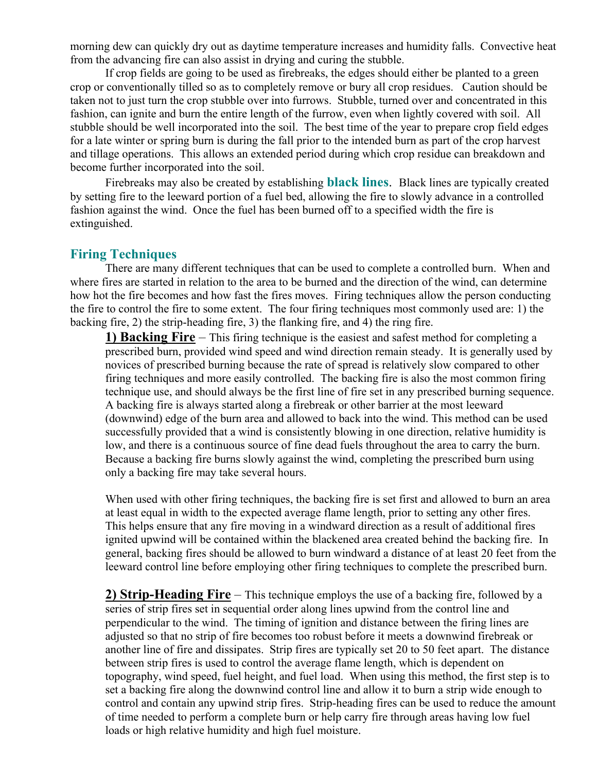morning dew can quickly dry out as daytime temperature increases and humidity falls. Convective heat from the advancing fire can also assist in drying and curing the stubble.

 If crop fields are going to be used as firebreaks, the edges should either be planted to a green crop or conventionally tilled so as to completely remove or bury all crop residues. Caution should be taken not to just turn the crop stubble over into furrows. Stubble, turned over and concentrated in this fashion, can ignite and burn the entire length of the furrow, even when lightly covered with soil. All stubble should be well incorporated into the soil. The best time of the year to prepare crop field edges for a late winter or spring burn is during the fall prior to the intended burn as part of the crop harvest and tillage operations. This allows an extended period during which crop residue can breakdown and become further incorporated into the soil.

Firebreaks may also be created by establishing **black lines**. Black lines are typically created by setting fire to the leeward portion of a fuel bed, allowing the fire to slowly advance in a controlled fashion against the wind. Once the fuel has been burned off to a specified width the fire is extinguished.

#### **Firing Techniques**

There are many different techniques that can be used to complete a controlled burn. When and where fires are started in relation to the area to be burned and the direction of the wind, can determine how hot the fire becomes and how fast the fires moves. Firing techniques allow the person conducting the fire to control the fire to some extent. The four firing techniques most commonly used are: 1) the backing fire, 2) the strip-heading fire, 3) the flanking fire, and 4) the ring fire.

**1) Backing Fire** – This firing technique is the easiest and safest method for completing a prescribed burn, provided wind speed and wind direction remain steady. It is generally used by novices of prescribed burning because the rate of spread is relatively slow compared to other firing techniques and more easily controlled. The backing fire is also the most common firing technique use, and should always be the first line of fire set in any prescribed burning sequence. A backing fire is always started along a firebreak or other barrier at the most leeward (downwind) edge of the burn area and allowed to back into the wind. This method can be used successfully provided that a wind is consistently blowing in one direction, relative humidity is low, and there is a continuous source of fine dead fuels throughout the area to carry the burn. Because a backing fire burns slowly against the wind, completing the prescribed burn using only a backing fire may take several hours.

When used with other firing techniques, the backing fire is set first and allowed to burn an area at least equal in width to the expected average flame length, prior to setting any other fires. This helps ensure that any fire moving in a windward direction as a result of additional fires ignited upwind will be contained within the blackened area created behind the backing fire. In general, backing fires should be allowed to burn windward a distance of at least 20 feet from the leeward control line before employing other firing techniques to complete the prescribed burn.

**2) Strip-Heading Fire** – This technique employs the use of a backing fire, followed by a series of strip fires set in sequential order along lines upwind from the control line and perpendicular to the wind. The timing of ignition and distance between the firing lines are adjusted so that no strip of fire becomes too robust before it meets a downwind firebreak or another line of fire and dissipates. Strip fires are typically set 20 to 50 feet apart. The distance between strip fires is used to control the average flame length, which is dependent on topography, wind speed, fuel height, and fuel load. When using this method, the first step is to set a backing fire along the downwind control line and allow it to burn a strip wide enough to control and contain any upwind strip fires. Strip-heading fires can be used to reduce the amount of time needed to perform a complete burn or help carry fire through areas having low fuel loads or high relative humidity and high fuel moisture.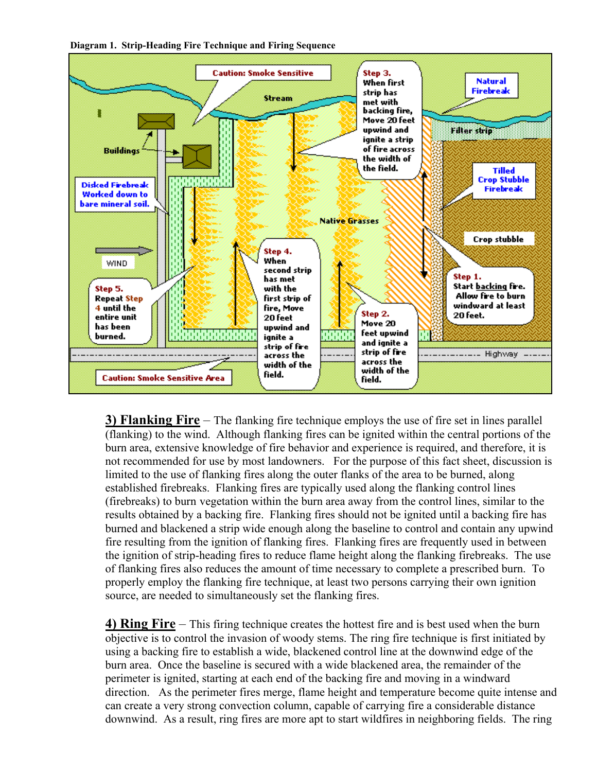



**3) Flanking Fire** – The flanking fire technique employs the use of fire set in lines parallel (flanking) to the wind. Although flanking fires can be ignited within the central portions of the burn area, extensive knowledge of fire behavior and experience is required, and therefore, it is not recommended for use by most landowners. For the purpose of this fact sheet, discussion is limited to the use of flanking fires along the outer flanks of the area to be burned, along established firebreaks. Flanking fires are typically used along the flanking control lines (firebreaks) to burn vegetation within the burn area away from the control lines, similar to the results obtained by a backing fire. Flanking fires should not be ignited until a backing fire has burned and blackened a strip wide enough along the baseline to control and contain any upwind fire resulting from the ignition of flanking fires. Flanking fires are frequently used in between the ignition of strip-heading fires to reduce flame height along the flanking firebreaks. The use of flanking fires also reduces the amount of time necessary to complete a prescribed burn. To properly employ the flanking fire technique, at least two persons carrying their own ignition source, are needed to simultaneously set the flanking fires.

**4) Ring Fire** – This firing technique creates the hottest fire and is best used when the burn objective is to control the invasion of woody stems. The ring fire technique is first initiated by using a backing fire to establish a wide, blackened control line at the downwind edge of the burn area. Once the baseline is secured with a wide blackened area, the remainder of the perimeter is ignited, starting at each end of the backing fire and moving in a windward direction. As the perimeter fires merge, flame height and temperature become quite intense and can create a very strong convection column, capable of carrying fire a considerable distance downwind. As a result, ring fires are more apt to start wildfires in neighboring fields. The ring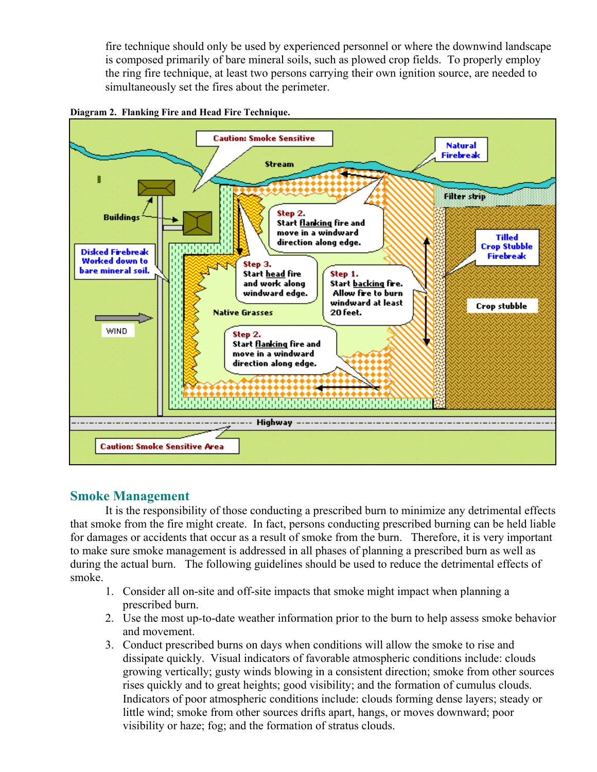fire technique should only be used by experienced personnel or where the downwind landscape is composed primarily of bare mineral soils, such as plowed crop fields. To properly employ the ring fire technique, at least two persons carrying their own ignition source, are needed to simultaneously set the fires about the perimeter.





## **Smoke Management**

It is the responsibility of those conducting a prescribed burn to minimize any detrimental effects that smoke from the fire might create. In fact, persons conducting prescribed burning can be held liable for damages or accidents that occur as a result of smoke from the burn. Therefore, it is very important to make sure smoke management is addressed in all phases of planning a prescribed burn as well as during the actual burn. The following guidelines should be used to reduce the detrimental effects of smoke.

- 1. Consider all on-site and off-site impacts that smoke might impact when planning a prescribed burn.
- 2. Use the most up-to-date weather information prior to the burn to help assess smoke behavior and movement.
- 3. Conduct prescribed burns on days when conditions will allow the smoke to rise and dissipate quickly. Visual indicators of favorable atmospheric conditions include: clouds growing vertically; gusty winds blowing in a consistent direction; smoke from other sources rises quickly and to great heights; good visibility; and the formation of cumulus clouds. Indicators of poor atmospheric conditions include: clouds forming dense layers; steady or little wind; smoke from other sources drifts apart, hangs, or moves downward; poor visibility or haze; fog; and the formation of stratus clouds.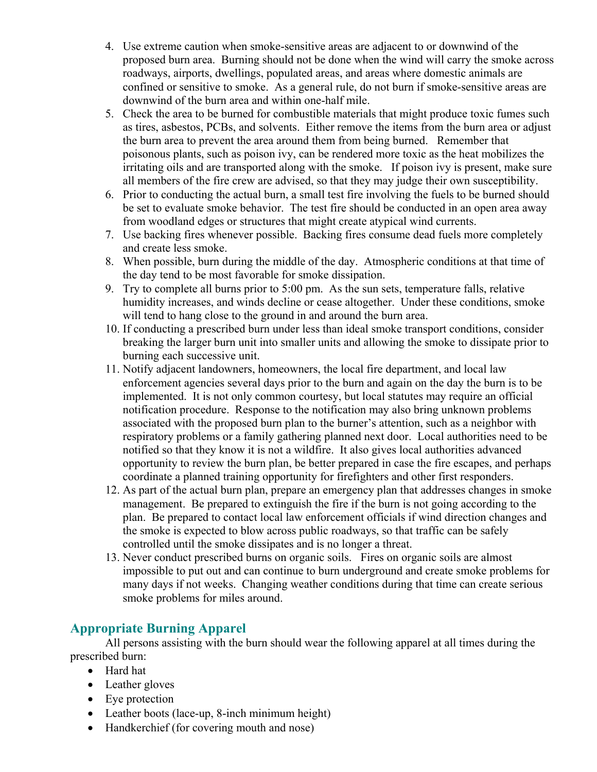- 4. Use extreme caution when smoke-sensitive areas are adjacent to or downwind of the proposed burn area. Burning should not be done when the wind will carry the smoke across roadways, airports, dwellings, populated areas, and areas where domestic animals are confined or sensitive to smoke. As a general rule, do not burn if smoke-sensitive areas are downwind of the burn area and within one-half mile.
- 5. Check the area to be burned for combustible materials that might produce toxic fumes such as tires, asbestos, PCBs, and solvents. Either remove the items from the burn area or adjust the burn area to prevent the area around them from being burned. Remember that poisonous plants, such as poison ivy, can be rendered more toxic as the heat mobilizes the irritating oils and are transported along with the smoke. If poison ivy is present, make sure all members of the fire crew are advised, so that they may judge their own susceptibility.
- 6. Prior to conducting the actual burn, a small test fire involving the fuels to be burned should be set to evaluate smoke behavior. The test fire should be conducted in an open area away from woodland edges or structures that might create atypical wind currents.
- 7. Use backing fires whenever possible. Backing fires consume dead fuels more completely and create less smoke.
- 8. When possible, burn during the middle of the day. Atmospheric conditions at that time of the day tend to be most favorable for smoke dissipation.
- 9. Try to complete all burns prior to 5:00 pm. As the sun sets, temperature falls, relative humidity increases, and winds decline or cease altogether. Under these conditions, smoke will tend to hang close to the ground in and around the burn area.
- 10. If conducting a prescribed burn under less than ideal smoke transport conditions, consider breaking the larger burn unit into smaller units and allowing the smoke to dissipate prior to burning each successive unit.
- 11. Notify adjacent landowners, homeowners, the local fire department, and local law enforcement agencies several days prior to the burn and again on the day the burn is to be implemented. It is not only common courtesy, but local statutes may require an official notification procedure. Response to the notification may also bring unknown problems associated with the proposed burn plan to the burner's attention, such as a neighbor with respiratory problems or a family gathering planned next door. Local authorities need to be notified so that they know it is not a wildfire. It also gives local authorities advanced opportunity to review the burn plan, be better prepared in case the fire escapes, and perhaps coordinate a planned training opportunity for firefighters and other first responders.
- 12. As part of the actual burn plan, prepare an emergency plan that addresses changes in smoke management. Be prepared to extinguish the fire if the burn is not going according to the plan. Be prepared to contact local law enforcement officials if wind direction changes and the smoke is expected to blow across public roadways, so that traffic can be safely controlled until the smoke dissipates and is no longer a threat.
- 13. Never conduct prescribed burns on organic soils. Fires on organic soils are almost impossible to put out and can continue to burn underground and create smoke problems for many days if not weeks. Changing weather conditions during that time can create serious smoke problems for miles around.

## **Appropriate Burning Apparel**

All persons assisting with the burn should wear the following apparel at all times during the prescribed burn:

- Hard hat
- Leather gloves
- Eye protection
- Leather boots (lace-up, 8-inch minimum height)
- Handkerchief (for covering mouth and nose)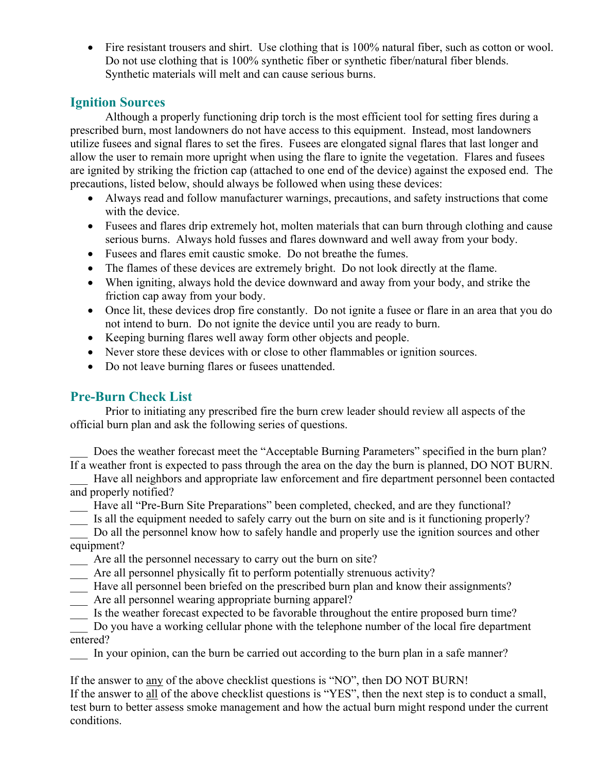• Fire resistant trousers and shirt. Use clothing that is 100% natural fiber, such as cotton or wool. Do not use clothing that is 100% synthetic fiber or synthetic fiber/natural fiber blends. Synthetic materials will melt and can cause serious burns.

## **Ignition Sources**

 Although a properly functioning drip torch is the most efficient tool for setting fires during a prescribed burn, most landowners do not have access to this equipment. Instead, most landowners utilize fusees and signal flares to set the fires. Fusees are elongated signal flares that last longer and allow the user to remain more upright when using the flare to ignite the vegetation. Flares and fusees are ignited by striking the friction cap (attached to one end of the device) against the exposed end. The precautions, listed below, should always be followed when using these devices:

- Always read and follow manufacturer warnings, precautions, and safety instructions that come with the device.
- Fusees and flares drip extremely hot, molten materials that can burn through clothing and cause serious burns. Always hold fusses and flares downward and well away from your body.
- Fusees and flares emit caustic smoke. Do not breathe the fumes.
- The flames of these devices are extremely bright. Do not look directly at the flame.
- When igniting, always hold the device downward and away from your body, and strike the friction cap away from your body.
- Once lit, these devices drop fire constantly. Do not ignite a fusee or flare in an area that you do not intend to burn. Do not ignite the device until you are ready to burn.
- Keeping burning flares well away form other objects and people.
- Never store these devices with or close to other flammables or ignition sources.
- Do not leave burning flares or fusees unattended.

## **Pre-Burn Check List**

Prior to initiating any prescribed fire the burn crew leader should review all aspects of the official burn plan and ask the following series of questions.

Does the weather forecast meet the "Acceptable Burning Parameters" specified in the burn plan? If a weather front is expected to pass through the area on the day the burn is planned, DO NOT BURN.

Have all neighbors and appropriate law enforcement and fire department personnel been contacted and properly notified?

- \_\_\_ Have all "Pre-Burn Site Preparations" been completed, checked, and are they functional?
- \_\_\_ Is all the equipment needed to safely carry out the burn on site and is it functioning properly?

Do all the personnel know how to safely handle and properly use the ignition sources and other equipment?

- Are all the personnel necessary to carry out the burn on site?
- \_\_\_ Are all personnel physically fit to perform potentially strenuous activity?
- \_\_\_ Have all personnel been briefed on the prescribed burn plan and know their assignments?
- \_\_\_ Are all personnel wearing appropriate burning apparel?
- \_\_\_ Is the weather forecast expected to be favorable throughout the entire proposed burn time?

\_\_\_ Do you have a working cellular phone with the telephone number of the local fire department entered?

In your opinion, can the burn be carried out according to the burn plan in a safe manner?

If the answer to any of the above checklist questions is "NO", then DO NOT BURN! If the answer to all of the above checklist questions is "YES", then the next step is to conduct a small, test burn to better assess smoke management and how the actual burn might respond under the current conditions.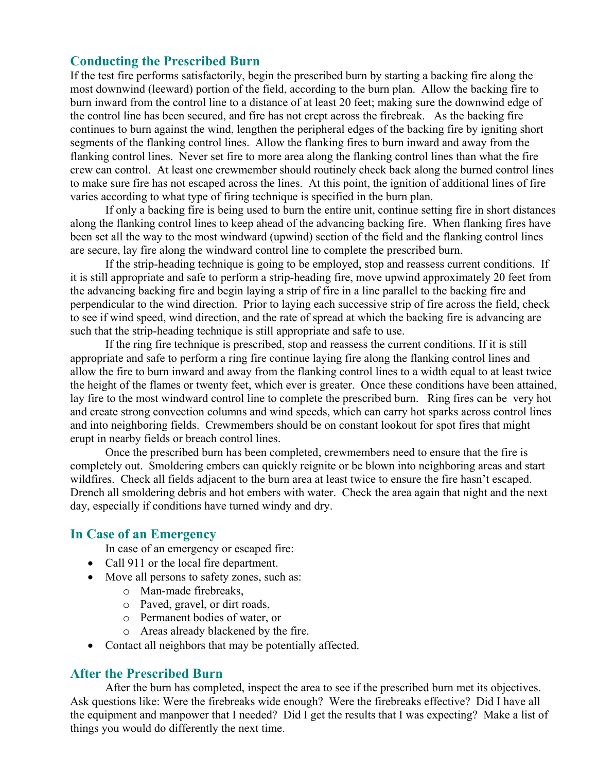## **Conducting the Prescribed Burn**

If the test fire performs satisfactorily, begin the prescribed burn by starting a backing fire along the most downwind (leeward) portion of the field, according to the burn plan. Allow the backing fire to burn inward from the control line to a distance of at least 20 feet; making sure the downwind edge of the control line has been secured, and fire has not crept across the firebreak. As the backing fire continues to burn against the wind, lengthen the peripheral edges of the backing fire by igniting short segments of the flanking control lines. Allow the flanking fires to burn inward and away from the flanking control lines. Never set fire to more area along the flanking control lines than what the fire crew can control. At least one crewmember should routinely check back along the burned control lines to make sure fire has not escaped across the lines. At this point, the ignition of additional lines of fire varies according to what type of firing technique is specified in the burn plan.

If only a backing fire is being used to burn the entire unit, continue setting fire in short distances along the flanking control lines to keep ahead of the advancing backing fire. When flanking fires have been set all the way to the most windward (upwind) section of the field and the flanking control lines are secure, lay fire along the windward control line to complete the prescribed burn.

If the strip-heading technique is going to be employed, stop and reassess current conditions. If it is still appropriate and safe to perform a strip-heading fire, move upwind approximately 20 feet from the advancing backing fire and begin laying a strip of fire in a line parallel to the backing fire and perpendicular to the wind direction. Prior to laying each successive strip of fire across the field, check to see if wind speed, wind direction, and the rate of spread at which the backing fire is advancing are such that the strip-heading technique is still appropriate and safe to use.

If the ring fire technique is prescribed, stop and reassess the current conditions. If it is still appropriate and safe to perform a ring fire continue laying fire along the flanking control lines and allow the fire to burn inward and away from the flanking control lines to a width equal to at least twice the height of the flames or twenty feet, which ever is greater. Once these conditions have been attained, lay fire to the most windward control line to complete the prescribed burn. Ring fires can be very hot and create strong convection columns and wind speeds, which can carry hot sparks across control lines and into neighboring fields. Crewmembers should be on constant lookout for spot fires that might erupt in nearby fields or breach control lines.

Once the prescribed burn has been completed, crewmembers need to ensure that the fire is completely out. Smoldering embers can quickly reignite or be blown into neighboring areas and start wildfires. Check all fields adjacent to the burn area at least twice to ensure the fire hasn't escaped. Drench all smoldering debris and hot embers with water. Check the area again that night and the next day, especially if conditions have turned windy and dry.

## **In Case of an Emergency**

In case of an emergency or escaped fire:

- Call 911 or the local fire department.
- Move all persons to safety zones, such as:
	- o Man-made firebreaks,
	- o Paved, gravel, or dirt roads,
	- o Permanent bodies of water, or
	- o Areas already blackened by the fire.
- Contact all neighbors that may be potentially affected.

## **After the Prescribed Burn**

After the burn has completed, inspect the area to see if the prescribed burn met its objectives. Ask questions like: Were the firebreaks wide enough? Were the firebreaks effective? Did I have all the equipment and manpower that I needed? Did I get the results that I was expecting? Make a list of things you would do differently the next time.